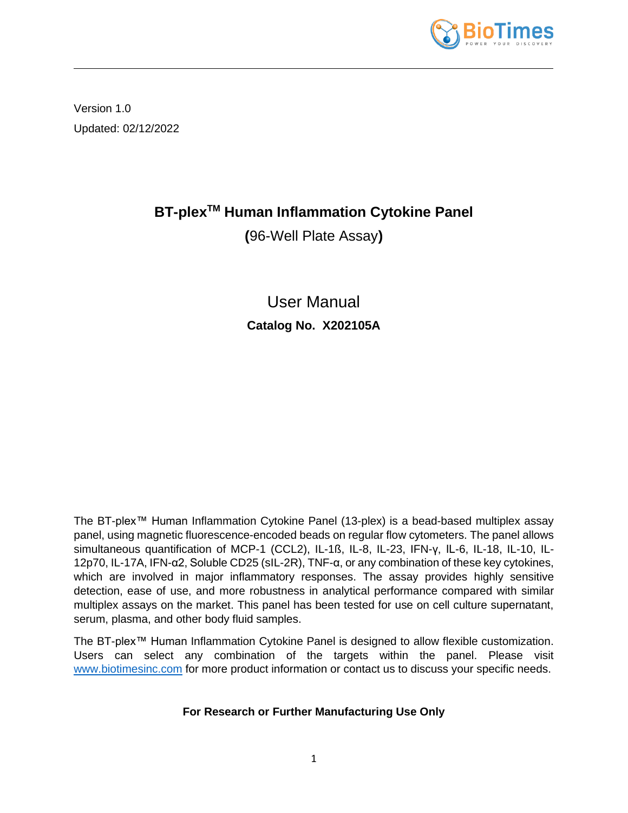

Version 1.0 Updated: 02/12/2022

# **BT-plexTM Human Inflammation Cytokine Panel**

**(**96-Well Plate Assay**)**

User Manual **Catalog No. X202105A**

The BT-plex™ Human Inflammation Cytokine Panel (13-plex) is a bead-based multiplex assay panel, using magnetic fluorescence-encoded beads on regular flow cytometers. The panel allows simultaneous quantification of MCP-1 (CCL2), IL-1ß, IL-8, IL-23, IFN-γ, IL-6, IL-18, IL-10, IL-12p70, IL-17A, IFN-α2, Soluble CD25 (sIL-2R), TNF-α, or any combination of these key cytokines, which are involved in major inflammatory responses. The assay provides highly sensitive detection, ease of use, and more robustness in analytical performance compared with similar multiplex assays on the market. This panel has been tested for use on cell culture supernatant, serum, plasma, and other body fluid samples.

The BT-plex™ Human Inflammation Cytokine Panel is designed to allow flexible customization. Users can select any combination of the targets within the panel. Please visit [www.biotimesinc.com](http://www.biotimesinc.com/) for more product information or contact us to discuss your specific needs.

## **For Research or Further Manufacturing Use Only**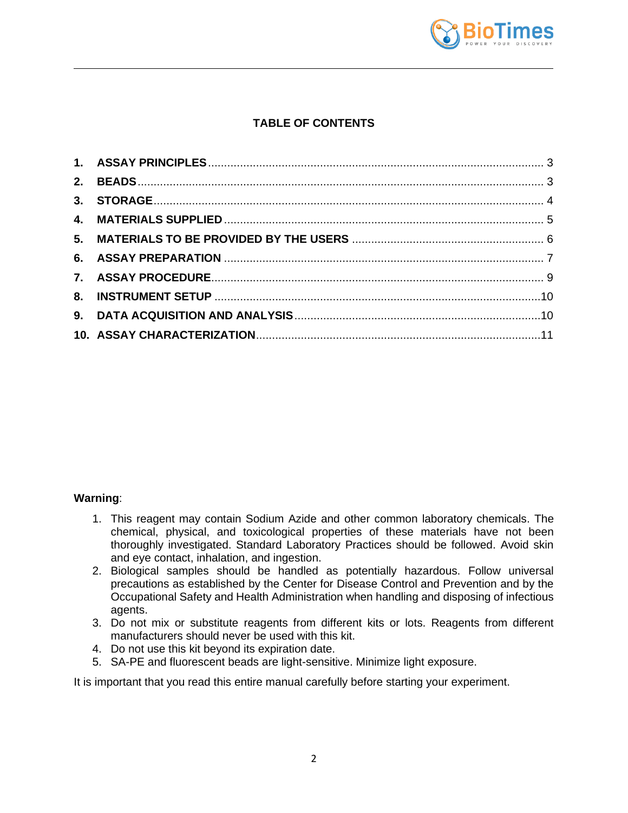

## **TABLE OF CONTENTS**

#### **Warning**:

- 1. This reagent may contain Sodium Azide and other common laboratory chemicals. The chemical, physical, and toxicological properties of these materials have not been thoroughly investigated. Standard Laboratory Practices should be followed. Avoid skin and eye contact, inhalation, and ingestion.
- 2. Biological samples should be handled as potentially hazardous. Follow universal precautions as established by the Center for Disease Control and Prevention and by the Occupational Safety and Health Administration when handling and disposing of infectious agents.
- 3. Do not mix or substitute reagents from different kits or lots. Reagents from different manufacturers should never be used with this kit.
- 4. Do not use this kit beyond its expiration date.
- 5. SA-PE and fluorescent beads are light-sensitive. Minimize light exposure.

It is important that you read this entire manual carefully before starting your experiment.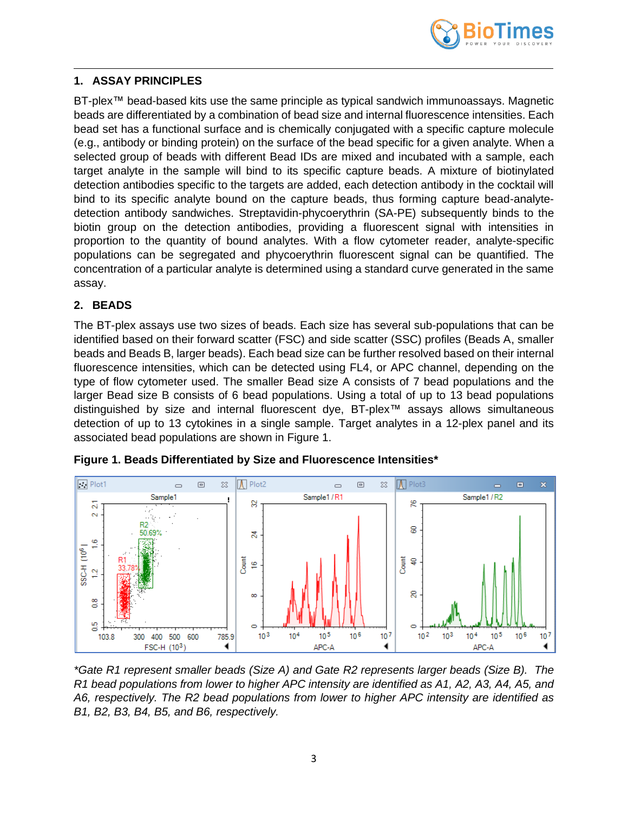

#### <span id="page-2-0"></span>**1. ASSAY PRINCIPLES**

BT-plex™ bead-based kits use the same principle as typical sandwich immunoassays. Magnetic beads are differentiated by a combination of bead size and internal fluorescence intensities. Each bead set has a functional surface and is chemically conjugated with a specific capture molecule (e.g., antibody or binding protein) on the surface of the bead specific for a given analyte. When a selected group of beads with different Bead IDs are mixed and incubated with a sample, each target analyte in the sample will bind to its specific capture beads. A mixture of biotinylated detection antibodies specific to the targets are added, each detection antibody in the cocktail will bind to its specific analyte bound on the capture beads, thus forming capture bead-analytedetection antibody sandwiches. Streptavidin-phycoerythrin (SA-PE) subsequently binds to the biotin group on the detection antibodies, providing a fluorescent signal with intensities in proportion to the quantity of bound analytes. With a flow cytometer reader, analyte-specific populations can be segregated and phycoerythrin fluorescent signal can be quantified. The concentration of a particular analyte is determined using a standard curve generated in the same assay.

## <span id="page-2-1"></span>**2. BEADS**

The BT-plex assays use two sizes of beads. Each size has several sub-populations that can be identified based on their forward scatter (FSC) and side scatter (SSC) profiles (Beads A, smaller beads and Beads B, larger beads). Each bead size can be further resolved based on their internal fluorescence intensities, which can be detected using FL4, or APC channel, depending on the type of flow cytometer used. The smaller Bead size A consists of 7 bead populations and the larger Bead size B consists of 6 bead populations. Using a total of up to 13 bead populations distinguished by size and internal fluorescent dye, BT-plex™ assays allows simultaneous detection of up to 13 cytokines in a single sample. Target analytes in a 12-plex panel and its associated bead populations are shown in Figure 1.



**Figure 1. Beads Differentiated by Size and Fluorescence Intensities\***

*\*Gate R1 represent smaller beads (Size A) and Gate R2 represents larger beads (Size B). The R1 bead populations from lower to higher APC intensity are identified as A1, A2, A3, A4, A5, and A6, respectively. The R2 bead populations from lower to higher APC intensity are identified as B1, B2, B3, B4, B5, and B6, respectively.*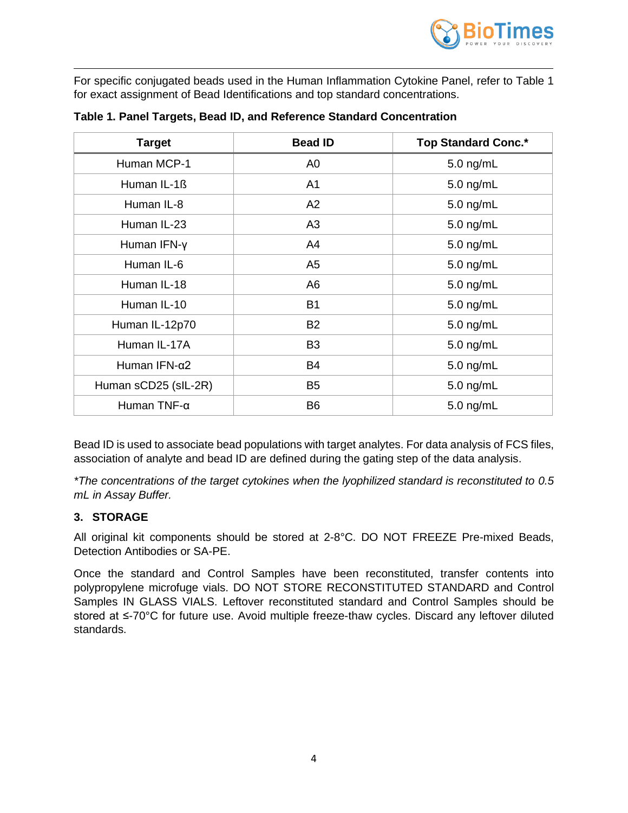

For specific conjugated beads used in the Human Inflammation Cytokine Panel, refer to Table 1 for exact assignment of Bead Identifications and top standard concentrations.

| <b>Target</b>        | <b>Bead ID</b> | <b>Top Standard Conc.*</b> |
|----------------------|----------------|----------------------------|
| Human MCP-1          | A <sub>0</sub> | $5.0$ ng/mL                |
| Human IL-1ß          | A <sub>1</sub> | 5.0 ng/mL                  |
| Human IL-8           | A2             | 5.0 ng/mL                  |
| Human IL-23          | A <sub>3</sub> | $5.0$ ng/mL                |
| Human IFN-y          | A4             | 5.0 ng/mL                  |
| Human IL-6           | A <sub>5</sub> | $5.0$ ng/mL                |
| Human IL-18          | A <sub>6</sub> | 5.0 ng/mL                  |
| Human IL-10          | <b>B1</b>      | 5.0 ng/mL                  |
| Human IL-12p70       | <b>B2</b>      | $5.0$ ng/mL                |
| Human IL-17A         | B <sub>3</sub> | 5.0 ng/mL                  |
| Human IFN-α2         | <b>B4</b>      | 5.0 ng/mL                  |
| Human sCD25 (sIL-2R) | B <sub>5</sub> | 5.0 ng/mL                  |
| Human TNF-α          | B <sub>6</sub> | 5.0 ng/mL                  |

**Table 1. Panel Targets, Bead ID, and Reference Standard Concentration**

Bead ID is used to associate bead populations with target analytes. For data analysis of FCS files, association of analyte and bead ID are defined during the gating step of the data analysis.

*\*The concentrations of the target cytokines when the lyophilized standard is reconstituted to 0.5 mL in Assay Buffer.*

## <span id="page-3-0"></span>**3. STORAGE**

All original kit components should be stored at 2-8°C. DO NOT FREEZE Pre-mixed Beads, Detection Antibodies or SA-PE.

Once the standard and Control Samples have been reconstituted, transfer contents into polypropylene microfuge vials. DO NOT STORE RECONSTITUTED STANDARD and Control Samples IN GLASS VIALS. Leftover reconstituted standard and Control Samples should be stored at ≤-70°C for future use. Avoid multiple freeze-thaw cycles. Discard any leftover diluted standards.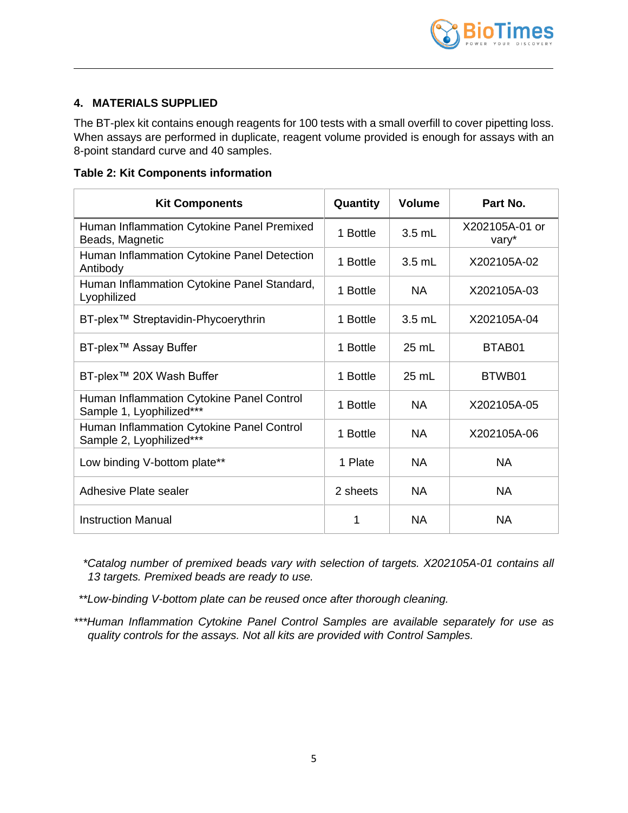

## <span id="page-4-0"></span>**4. MATERIALS SUPPLIED**

The BT-plex kit contains enough reagents for 100 tests with a small overfill to cover pipetting loss. When assays are performed in duplicate, reagent volume provided is enough for assays with an 8-point standard curve and 40 samples.

|  | <b>Table 2: Kit Components information</b> |
|--|--------------------------------------------|
|--|--------------------------------------------|

| <b>Kit Components</b>                                                 | Quantity | <b>Volume</b>    | Part No.                |
|-----------------------------------------------------------------------|----------|------------------|-------------------------|
| Human Inflammation Cytokine Panel Premixed<br>Beads, Magnetic         | 1 Bottle | $3.5$ mL         | X202105A-01 or<br>vary* |
| Human Inflammation Cytokine Panel Detection<br>Antibody               | 1 Bottle | $3.5 \text{ mL}$ | X202105A-02             |
| Human Inflammation Cytokine Panel Standard,<br>Lyophilized            | 1 Bottle | <b>NA</b>        | X202105A-03             |
| BT-plex <sup>™</sup> Streptavidin-Phycoerythrin                       | 1 Bottle | $3.5$ mL         | X202105A-04             |
| BT-plex <sup>™</sup> Assay Buffer                                     | 1 Bottle | $25$ mL          | BTAB01                  |
| BT-plex™ 20X Wash Buffer                                              | 1 Bottle | $25 \text{ mL}$  | BTWB01                  |
| Human Inflammation Cytokine Panel Control<br>Sample 1, Lyophilized*** | 1 Bottle | <b>NA</b>        | X202105A-05             |
| Human Inflammation Cytokine Panel Control<br>Sample 2, Lyophilized*** | 1 Bottle | <b>NA</b>        | X202105A-06             |
| Low binding V-bottom plate**                                          | 1 Plate  | <b>NA</b>        | <b>NA</b>               |
| Adhesive Plate sealer                                                 | 2 sheets | <b>NA</b>        | <b>NA</b>               |
| <b>Instruction Manual</b>                                             | 1        | <b>NA</b>        | NA                      |

*\*Catalog number of premixed beads vary with selection of targets. X202105A-01 contains all 13 targets. Premixed beads are ready to use.*

*\*\*Low-binding V-bottom plate can be reused once after thorough cleaning.*

*\*\*\*Human Inflammation Cytokine Panel Control Samples are available separately for use as quality controls for the assays. Not all kits are provided with Control Samples.*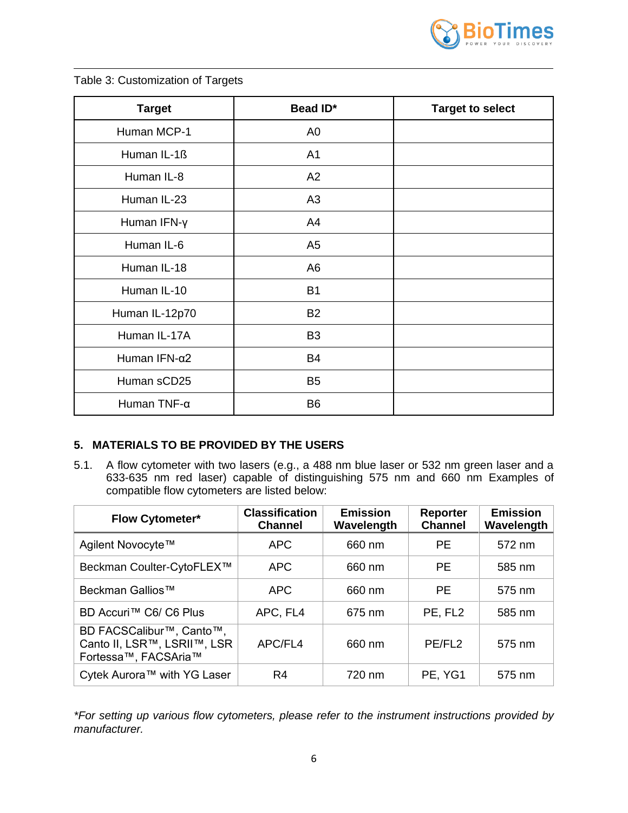

| <b>Target</b>  | Bead ID*       | <b>Target to select</b> |
|----------------|----------------|-------------------------|
| Human MCP-1    | A <sub>0</sub> |                         |
| Human IL-1ß    | A <sub>1</sub> |                         |
| Human IL-8     | A2             |                         |
| Human IL-23    | A <sub>3</sub> |                         |
| Human IFN-y    | A4             |                         |
| Human IL-6     | A <sub>5</sub> |                         |
| Human IL-18    | A <sub>6</sub> |                         |
| Human IL-10    | <b>B1</b>      |                         |
| Human IL-12p70 | <b>B2</b>      |                         |
| Human IL-17A   | B <sub>3</sub> |                         |
| Human IFN-α2   | <b>B4</b>      |                         |
| Human sCD25    | B <sub>5</sub> |                         |
| Human TNF-α    | B <sub>6</sub> |                         |

## Table 3: Customization of Targets

#### <span id="page-5-0"></span>**5. MATERIALS TO BE PROVIDED BY THE USERS**

5.1. A flow cytometer with two lasers (e.g., a 488 nm blue laser or 532 nm green laser and a 633-635 nm red laser) capable of distinguishing 575 nm and 660 nm Examples of compatible flow cytometers are listed below:

| <b>Flow Cytometer*</b>                                                                       | <b>Classification</b><br><b>Channel</b> | <b>Emission</b><br>Wavelength | <b>Reporter</b><br><b>Channel</b> | <b>Emission</b><br>Wavelength |  |
|----------------------------------------------------------------------------------------------|-----------------------------------------|-------------------------------|-----------------------------------|-------------------------------|--|
| Agilent Novocyte™                                                                            | <b>APC</b>                              | 660 nm                        | <b>PE</b>                         | 572 nm                        |  |
| Beckman Coulter-CytoFLEX™                                                                    | <b>APC</b>                              | 660 nm                        | PE.                               | 585 nm                        |  |
| Beckman Gallios™                                                                             | <b>APC</b>                              | 660 nm                        | <b>PE</b>                         | 575 nm                        |  |
| BD Accuri™ C6/ C6 Plus                                                                       | APC, FL4                                | 675 nm                        | PE, FL2                           | 585 nm                        |  |
| BD FACSCalibur <sup>™</sup> , Canto™,<br>Canto II, LSR™, LSRII™, LSR<br>Fortessa™, FACSAria™ | APC/FL4                                 | 660 nm                        | PE/FL <sub>2</sub>                | 575 nm                        |  |
| Cytek Aurora™ with YG Laser                                                                  | R4                                      | 720 nm                        | PE, YG1                           | 575 nm                        |  |

*\*For setting up various flow cytometers, please refer to the instrument instructions provided by manufacturer.*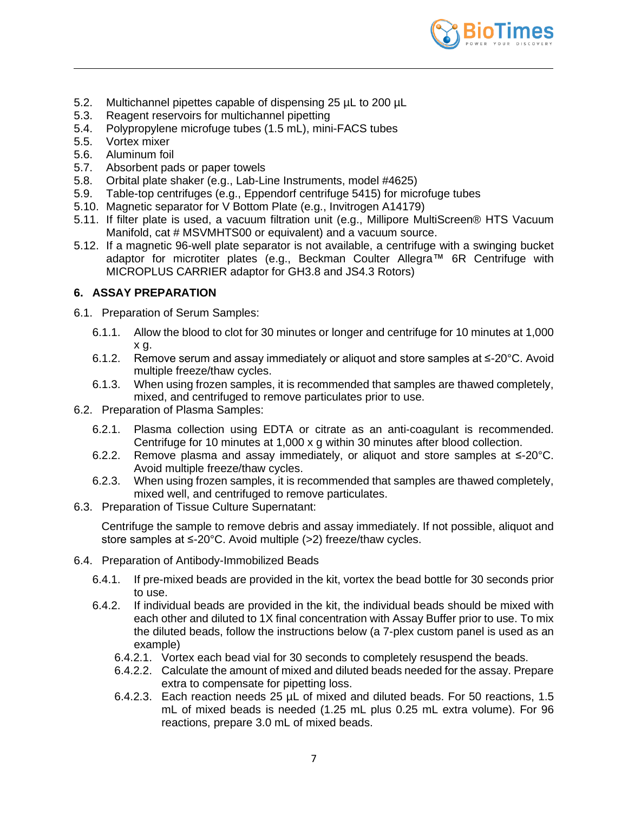

- 5.2. Multichannel pipettes capable of dispensing 25 µL to 200 µL
- 5.3. Reagent reservoirs for multichannel pipetting
- 5.4. Polypropylene microfuge tubes (1.5 mL), mini-FACS tubes
- 5.5. Vortex mixer
- 5.6. Aluminum foil
- 5.7. Absorbent pads or paper towels
- 5.8. Orbital plate shaker (e.g., Lab-Line Instruments, model #4625)
- 5.9. Table-top centrifuges (e.g., Eppendorf centrifuge 5415) for microfuge tubes
- 5.10. Magnetic separator for V Bottom Plate (e.g., Invitrogen A14179)
- 5.11. If filter plate is used, a vacuum filtration unit (e.g., Millipore MultiScreen® HTS Vacuum Manifold, cat # MSVMHTS00 or equivalent) and a vacuum source.
- 5.12. If a magnetic 96-well plate separator is not available, a centrifuge with a swinging bucket adaptor for microtiter plates (e.g., Beckman Coulter Allegra™ 6R Centrifuge with MICROPLUS CARRIER adaptor for GH3.8 and JS4.3 Rotors)

## <span id="page-6-0"></span>**6. ASSAY PREPARATION**

- 6.1. Preparation of Serum Samples:
	- 6.1.1. Allow the blood to clot for 30 minutes or longer and centrifuge for 10 minutes at 1,000 x g.
	- 6.1.2. Remove serum and assay immediately or aliquot and store samples at ≤-20°C. Avoid multiple freeze/thaw cycles.
	- 6.1.3. When using frozen samples, it is recommended that samples are thawed completely, mixed, and centrifuged to remove particulates prior to use.
- 6.2. Preparation of Plasma Samples:
	- 6.2.1. Plasma collection using EDTA or citrate as an anti-coagulant is recommended. Centrifuge for 10 minutes at 1,000 x g within 30 minutes after blood collection.
	- 6.2.2. Remove plasma and assay immediately, or aliquot and store samples at ≤-20°C. Avoid multiple freeze/thaw cycles.
	- 6.2.3. When using frozen samples, it is recommended that samples are thawed completely, mixed well, and centrifuged to remove particulates.
- 6.3. Preparation of Tissue Culture Supernatant:

Centrifuge the sample to remove debris and assay immediately. If not possible, aliquot and store samples at ≤-20°C. Avoid multiple (>2) freeze/thaw cycles.

- 6.4. Preparation of Antibody-Immobilized Beads
	- 6.4.1. If pre-mixed beads are provided in the kit, vortex the bead bottle for 30 seconds prior to use.
	- 6.4.2. If individual beads are provided in the kit, the individual beads should be mixed with each other and diluted to 1X final concentration with Assay Buffer prior to use. To mix the diluted beads, follow the instructions below (a 7-plex custom panel is used as an example)
		- 6.4.2.1. Vortex each bead vial for 30 seconds to completely resuspend the beads.
		- 6.4.2.2. Calculate the amount of mixed and diluted beads needed for the assay. Prepare extra to compensate for pipetting loss.
		- 6.4.2.3. Each reaction needs 25  $\mu$ L of mixed and diluted beads. For 50 reactions, 1.5 mL of mixed beads is needed (1.25 mL plus 0.25 mL extra volume). For 96 reactions, prepare 3.0 mL of mixed beads.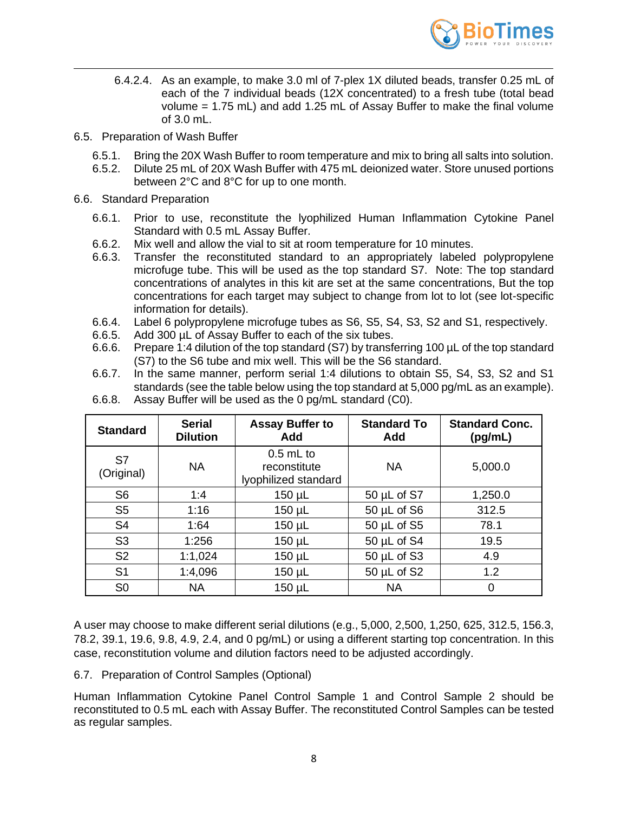

- 6.4.2.4. As an example, to make 3.0 ml of 7-plex 1X diluted beads, transfer 0.25 mL of each of the 7 individual beads (12X concentrated) to a fresh tube (total bead volume = 1.75 mL) and add 1.25 mL of Assay Buffer to make the final volume of 3.0 mL.
- 6.5. Preparation of Wash Buffer
	- 6.5.1. Bring the 20X Wash Buffer to room temperature and mix to bring all salts into solution.
	- 6.5.2. Dilute 25 mL of 20X Wash Buffer with 475 mL deionized water. Store unused portions between 2°C and 8°C for up to one month.
- 6.6. Standard Preparation
	- 6.6.1. Prior to use, reconstitute the lyophilized Human Inflammation Cytokine Panel Standard with 0.5 mL Assay Buffer.
	- 6.6.2. Mix well and allow the vial to sit at room temperature for 10 minutes.
	- 6.6.3. Transfer the reconstituted standard to an appropriately labeled polypropylene microfuge tube. This will be used as the top standard S7. Note: The top standard concentrations of analytes in this kit are set at the same concentrations, But the top concentrations for each target may subject to change from lot to lot (see lot-specific information for details).
	- 6.6.4. Label 6 polypropylene microfuge tubes as S6, S5, S4, S3, S2 and S1, respectively.
	- 6.6.5. Add 300 µL of Assay Buffer to each of the six tubes.
	- 6.6.6. Prepare 1:4 dilution of the top standard (S7) by transferring 100 µL of the top standard (S7) to the S6 tube and mix well. This will be the S6 standard.
	- 6.6.7. In the same manner, perform serial 1:4 dilutions to obtain S5, S4, S3, S2 and S1 standards (see the table below using the top standard at 5,000 pg/mL as an example).

| <b>Standard</b>  | <b>Serial</b><br><b>Dilution</b> | <b>Assay Buffer to</b><br>Add                       | <b>Standard To</b><br>Add | <b>Standard Conc.</b><br>(pg/mL) |  |
|------------------|----------------------------------|-----------------------------------------------------|---------------------------|----------------------------------|--|
| S7<br>(Original) | <b>NA</b>                        | $0.5$ mL to<br>reconstitute<br>lyophilized standard | <b>NA</b>                 | 5,000.0                          |  |
| S <sub>6</sub>   | 1:4                              | $150 \mu L$                                         | $50 \mu L$ of S7          | 1,250.0                          |  |
| S <sub>5</sub>   | 1:16                             | $150 \mu L$                                         | $50 \mu L$ of S6          | 312.5                            |  |
| S <sub>4</sub>   | 1:64                             | $150 \mu L$                                         | $50 \mu L$ of S5          | 78.1                             |  |
| S <sub>3</sub>   | 1:256                            | $150 \mu L$                                         | 50 µL of S4               | 19.5                             |  |
| S <sub>2</sub>   | 1:1,024                          | $150 \mu L$                                         | $50 \mu L$ of S3          | 4.9                              |  |
| S <sub>1</sub>   | 1:4,096                          | $150 \mu L$                                         | $50 \mu L$ of S2          | 1.2                              |  |
| S <sub>0</sub>   | <b>NA</b>                        | $150 \mu L$                                         | <b>NA</b>                 | 0                                |  |

6.6.8. Assay Buffer will be used as the 0 pg/mL standard (C0).

A user may choose to make different serial dilutions (e.g., 5,000, 2,500, 1,250, 625, 312.5, 156.3, 78.2, 39.1, 19.6, 9.8, 4.9, 2.4, and 0 pg/mL) or using a different starting top concentration. In this case, reconstitution volume and dilution factors need to be adjusted accordingly.

#### 6.7. Preparation of Control Samples (Optional)

Human Inflammation Cytokine Panel Control Sample 1 and Control Sample 2 should be reconstituted to 0.5 mL each with Assay Buffer. The reconstituted Control Samples can be tested as regular samples.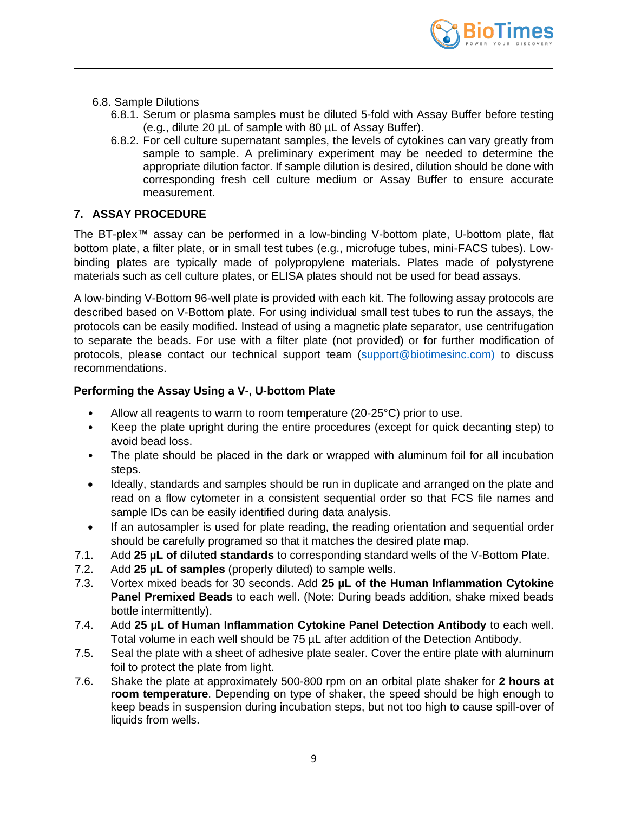

- 6.8. Sample Dilutions
	- 6.8.1. Serum or plasma samples must be diluted 5-fold with Assay Buffer before testing (e.g., dilute 20 µL of sample with 80 µL of Assay Buffer).
	- 6.8.2. For cell culture supernatant samples, the levels of cytokines can vary greatly from sample to sample. A preliminary experiment may be needed to determine the appropriate dilution factor. If sample dilution is desired, dilution should be done with corresponding fresh cell culture medium or Assay Buffer to ensure accurate measurement.

## <span id="page-8-0"></span>**7. ASSAY PROCEDURE**

The BT-plex™ assay can be performed in a low-binding V-bottom plate, U-bottom plate, flat bottom plate, a filter plate, or in small test tubes (e.g., microfuge tubes, mini-FACS tubes). Lowbinding plates are typically made of polypropylene materials. Plates made of polystyrene materials such as cell culture plates, or ELISA plates should not be used for bead assays.

A low-binding V-Bottom 96-well plate is provided with each kit. The following assay protocols are described based on V-Bottom plate. For using individual small test tubes to run the assays, the protocols can be easily modified. Instead of using a magnetic plate separator, use centrifugation to separate the beads. For use with a filter plate (not provided) or for further modification of protocols, please contact our technical support team [\(support@biotimesinc.com\)](mailto:support@biotimesinc.com) to discuss recommendations.

#### **Performing the Assay Using a V-, U-bottom Plate**

- Allow all reagents to warm to room temperature (20-25°C) prior to use.
- Keep the plate upright during the entire procedures (except for quick decanting step) to avoid bead loss.
- The plate should be placed in the dark or wrapped with aluminum foil for all incubation steps.
- Ideally, standards and samples should be run in duplicate and arranged on the plate and read on a flow cytometer in a consistent sequential order so that FCS file names and sample IDs can be easily identified during data analysis.
- If an autosampler is used for plate reading, the reading orientation and sequential order should be carefully programed so that it matches the desired plate map.
- 7.1. Add **25 µL of diluted standards** to corresponding standard wells of the V-Bottom Plate.
- 7.2. Add **25 µL of samples** (properly diluted) to sample wells.
- 7.3. Vortex mixed beads for 30 seconds. Add **25 µL of the Human Inflammation Cytokine Panel Premixed Beads** to each well. (Note: During beads addition, shake mixed beads bottle intermittently).
- 7.4. Add **25 µL of Human Inflammation Cytokine Panel Detection Antibody** to each well. Total volume in each well should be 75 µL after addition of the Detection Antibody.
- 7.5. Seal the plate with a sheet of adhesive plate sealer. Cover the entire plate with aluminum foil to protect the plate from light.
- 7.6. Shake the plate at approximately 500-800 rpm on an orbital plate shaker for **2 hours at room temperature**. Depending on type of shaker, the speed should be high enough to keep beads in suspension during incubation steps, but not too high to cause spill-over of liquids from wells.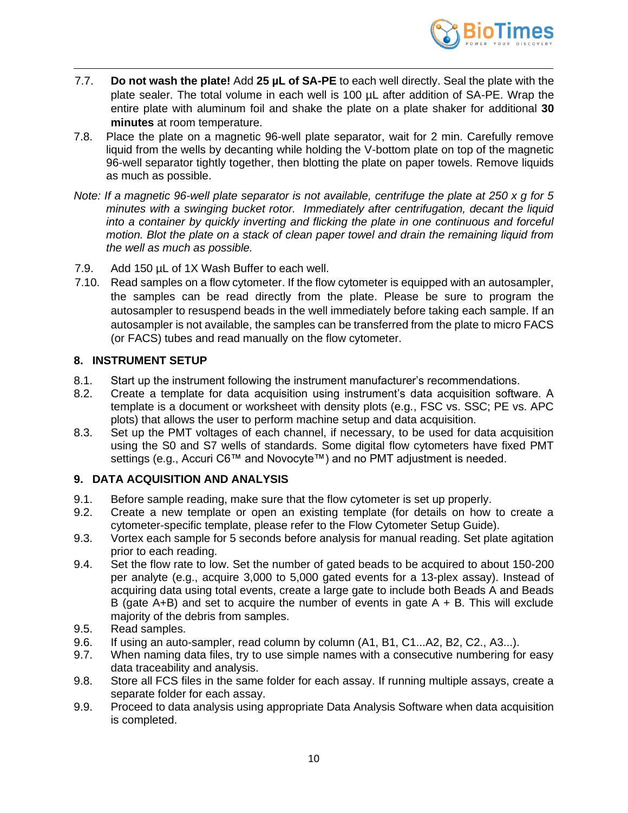

- 7.7. **Do not wash the plate!** Add **25 µL of SA-PE** to each well directly. Seal the plate with the plate sealer. The total volume in each well is 100 µL after addition of SA-PE. Wrap the entire plate with aluminum foil and shake the plate on a plate shaker for additional **30 minutes** at room temperature.
- 7.8. Place the plate on a magnetic 96-well plate separator, wait for 2 min. Carefully remove liquid from the wells by decanting while holding the V-bottom plate on top of the magnetic 96-well separator tightly together, then blotting the plate on paper towels. Remove liquids as much as possible.
- *Note: If a magnetic 96-well plate separator is not available, centrifuge the plate at 250 x g for 5 minutes with a swinging bucket rotor. Immediately after centrifugation, decant the liquid into a container by quickly inverting and flicking the plate in one continuous and forceful motion. Blot the plate on a stack of clean paper towel and drain the remaining liquid from the well as much as possible.*
- 7.9. Add 150 µL of 1X Wash Buffer to each well.
- 7.10. Read samples on a flow cytometer. If the flow cytometer is equipped with an autosampler, the samples can be read directly from the plate. Please be sure to program the autosampler to resuspend beads in the well immediately before taking each sample. If an autosampler is not available, the samples can be transferred from the plate to micro FACS (or FACS) tubes and read manually on the flow cytometer.

#### <span id="page-9-0"></span>**8. INSTRUMENT SETUP**

- 8.1. Start up the instrument following the instrument manufacturer's recommendations.
- 8.2. Create a template for data acquisition using instrument's data acquisition software. A template is a document or worksheet with density plots (e.g., FSC vs. SSC; PE vs. APC plots) that allows the user to perform machine setup and data acquisition.
- 8.3. Set up the PMT voltages of each channel, if necessary, to be used for data acquisition using the S0 and S7 wells of standards. Some digital flow cytometers have fixed PMT settings (e.g., Accuri C6™ and Novocyte™) and no PMT adjustment is needed.

#### <span id="page-9-1"></span>**9. DATA ACQUISITION AND ANALYSIS**

- 9.1. Before sample reading, make sure that the flow cytometer is set up properly.
- 9.2. Create a new template or open an existing template (for details on how to create a cytometer-specific template, please refer to the Flow Cytometer Setup Guide).
- 9.3. Vortex each sample for 5 seconds before analysis for manual reading. Set plate agitation prior to each reading.
- 9.4. Set the flow rate to low. Set the number of gated beads to be acquired to about 150-200 per analyte (e.g., acquire 3,000 to 5,000 gated events for a 13-plex assay). Instead of acquiring data using total events, create a large gate to include both Beads A and Beads B (gate  $A+B$ ) and set to acquire the number of events in gate  $A + B$ . This will exclude majority of the debris from samples.
- 9.5. Read samples.
- 9.6. If using an auto-sampler, read column by column (A1, B1, C1...A2, B2, C2., A3...).
- 9.7. When naming data files, try to use simple names with a consecutive numbering for easy data traceability and analysis.
- 9.8. Store all FCS files in the same folder for each assay. If running multiple assays, create a separate folder for each assay.
- 9.9. Proceed to data analysis using appropriate Data Analysis Software when data acquisition is completed.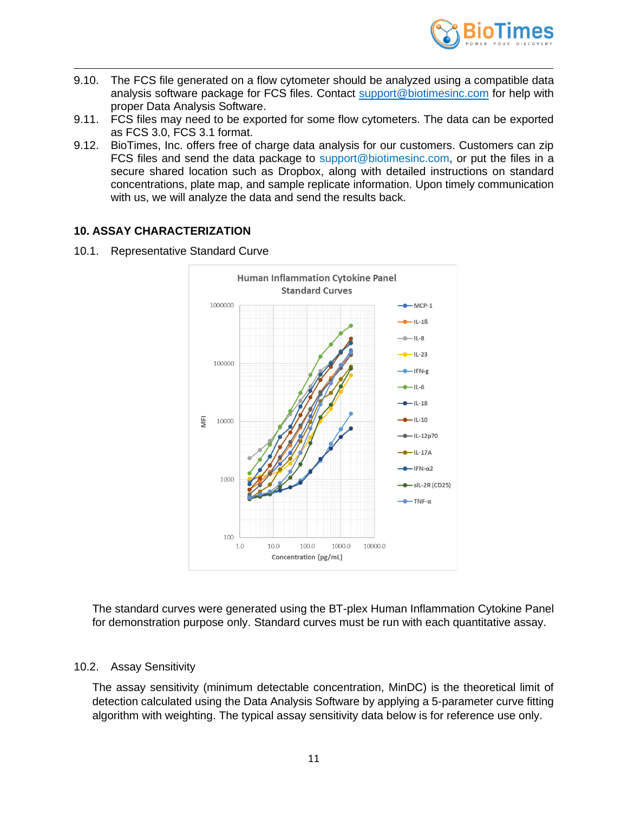

- 9.10. The FCS file generated on a flow cytometer should be analyzed using a compatible data analysis software package for FCS files. Contact [support@biotimesinc.com](mailto:support@biotimesinc.com) for help with proper Data Analysis Software.
- 9.11. FCS files may need to be exported for some flow cytometers. The data can be exported as FCS 3.0, FCS 3.1 format.
- 9.12. BioTimes, Inc. offers free of charge data analysis for our customers. Customers can zip FCS files and send the data package to support@biotimesinc.com, or put the files in a secure shared location such as Dropbox, along with detailed instructions on standard concentrations, plate map, and sample replicate information. Upon timely communication with us, we will analyze the data and send the results back.

#### <span id="page-10-0"></span>**10. ASSAY CHARACTERIZATION**

10.1. Representative Standard Curve



The standard curves were generated using the BT-plex Human Inflammation Cytokine Panel for demonstration purpose only. Standard curves must be run with each quantitative assay.

#### 10.2. Assay Sensitivity

The assay sensitivity (minimum detectable concentration, MinDC) is the theoretical limit of detection calculated using the Data Analysis Software by applying a 5-parameter curve fitting algorithm with weighting. The typical assay sensitivity data below is for reference use only.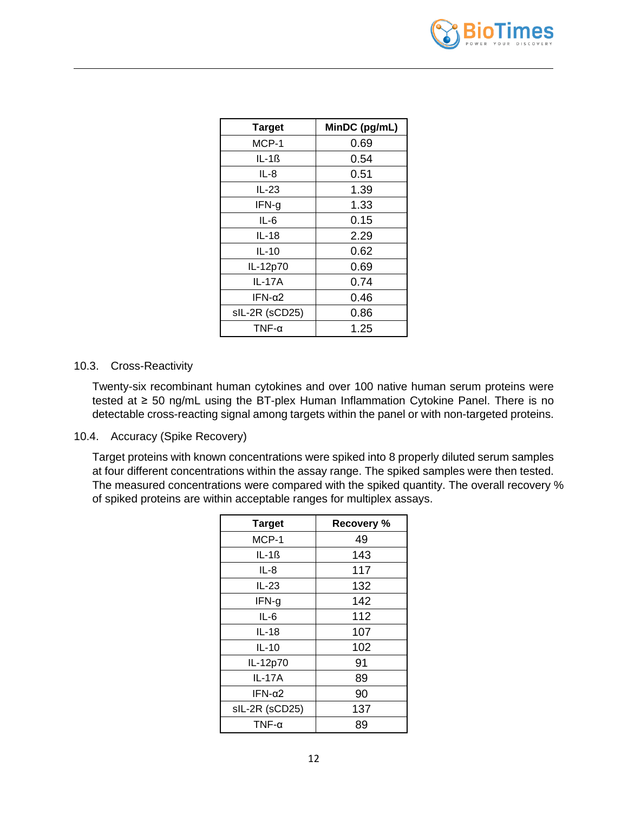

| <b>Target</b>  | MinDC (pg/mL) |
|----------------|---------------|
| MCP-1          | 0.69          |
| $IL-1ß$        | 0.54          |
| IL-8           | 0.51          |
| IL-23          | 1.39          |
| IFN-g          | 1.33          |
| $IL-6$         | 0.15          |
| $IL-18$        | 2.29          |
| $IL-10$        | 0.62          |
| IL-12p70       | 0.69          |
| <b>IL-17A</b>  | 0.74          |
| IFN-α $2$      | 0.46          |
| sIL-2R (sCD25) | 0.86          |
| TNF- $α$       | 1.25          |

#### 10.3. Cross-Reactivity

Twenty-six recombinant human cytokines and over 100 native human serum proteins were tested at ≥ 50 ng/mL using the BT-plex Human Inflammation Cytokine Panel. There is no detectable cross-reacting signal among targets within the panel or with non-targeted proteins.

#### 10.4. Accuracy (Spike Recovery)

Target proteins with known concentrations were spiked into 8 properly diluted serum samples at four different concentrations within the assay range. The spiked samples were then tested. The measured concentrations were compared with the spiked quantity. The overall recovery % of spiked proteins are within acceptable ranges for multiplex assays.

| <b>Target</b>  | <b>Recovery %</b> |
|----------------|-------------------|
| MCP-1          | 49                |
| IL-1ß          | 143               |
| IL-8           | 117               |
| $IL-23$        | 132               |
| IFN-g          | 142               |
| $IL-6$         | 112               |
| $IL-18$        | 107               |
| $IL-10$        | 102               |
| IL-12p70       | 91                |
| IL-17A         | 89                |
| IFN-α $2$      | 90                |
| sIL-2R (sCD25) | 137               |
| TNF- $α$       | 89                |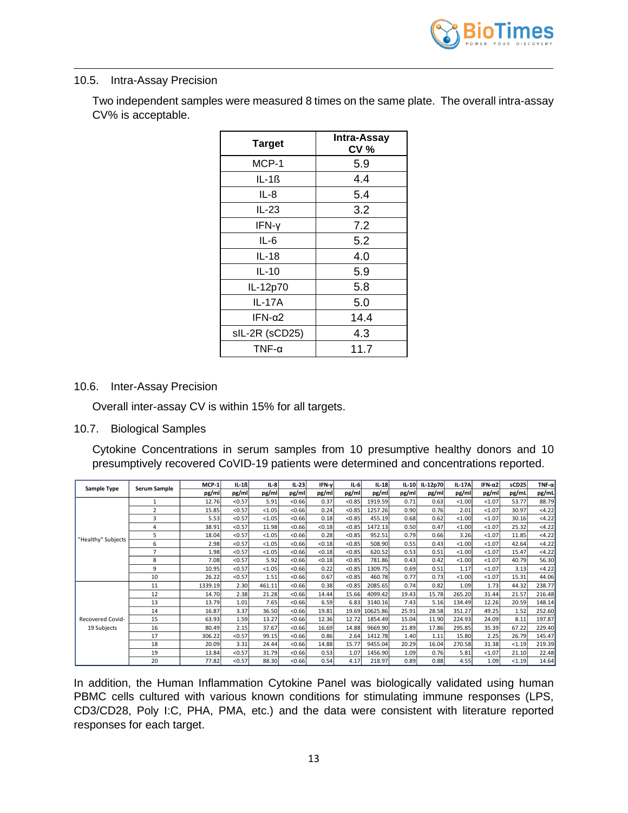

#### 10.5. Intra-Assay Precision

Two independent samples were measured 8 times on the same plate. The overall intra-assay CV% is acceptable.

| <b>Target</b>    | <b>Intra-Assay</b><br>CV <sub>%</sub> |
|------------------|---------------------------------------|
| MCP-1            | 5.9                                   |
| $IL-16$          | 4.4                                   |
| IL-8             | 5.4                                   |
| IL-23            | 3.2                                   |
| IFN-y            | 7.2                                   |
| $IL-6$           | 5.2                                   |
| IL-18            | 4.0                                   |
| $IL-10$          | 5.9                                   |
| IL-12p70         | 5.8                                   |
| <b>IL-17A</b>    | 5.0                                   |
| IFN-α $2$        | 14.4                                  |
| sIL-2R (sCD25)   | 4.3                                   |
| $TNF$ - $\alpha$ | 11.7                                  |

#### 10.6. Inter-Assay Precision

Overall inter-assay CV is within 15% for all targets.

#### 10.7. Biological Samples

Cytokine Concentrations in serum samples from 10 presumptive healthy donors and 10 presumptively recovered CoVID-19 patients were determined and concentrations reported.

|                    | Serum Sample   | MCP-1   | $IL-1B$ | $IL-8$ | $IL-23$ | IFN-y  | $IL-6$ | $IL-18$  | $IL-10$ | IL-12p70 | IL-17A | IFN- $\alpha$ 2 | sCD25  | TNF- $\alpha$ |
|--------------------|----------------|---------|---------|--------|---------|--------|--------|----------|---------|----------|--------|-----------------|--------|---------------|
| Sample Type        |                | pg/ml   | pg/ml   | pg/ml  | pg/ml   | pg/ml  | pg/ml  | pg/ml    | pg/ml   | pg/ml    | pg/ml  | pg/ml           | pg/mL  | pg/mL         |
|                    | $\mathbf{1}$   | 12.76   | < 0.57  | 5.91   | < 0.66  | 0.37   | < 0.85 | 1919.59  | 0.71    | 0.63     | < 1.00 | < 1.07          | 53.77  | 88.79         |
|                    | $\overline{2}$ | 15.85   | < 0.57  | < 1.05 | < 0.66  | 0.24   | < 0.85 | 1257.26  | 0.90    | 0.76     | 2.01   | < 1.07          | 30.97  | <4.22         |
|                    | 3              | 5.53    | < 0.57  | < 1.05 | < 0.66  | 0.18   | < 0.85 | 455.19   | 0.68    | 0.62     | < 1.00 | < 1.07          | 30.16  | <4.22         |
|                    | 4              | 38.91   | < 0.57  | 11.98  | < 0.66  | < 0.18 | < 0.85 | 1472.13  | 0.50    | 0.47     | < 1.00 | < 1.07          | 25.32  | <4.22         |
| "Healthy" Subjects | 5              | 18.04   | < 0.57  | < 1.05 | < 0.66  | 0.28   | < 0.85 | 952.51   | 0.79    | 0.66     | 3.26   | < 1.07          | 11.85  | <4.22         |
|                    | 6              | 2.98    | < 0.57  | < 1.05 | < 0.66  | < 0.18 | < 0.85 | 508.90   | 0.55    | 0.43     | < 1.00 | < 1.07          | 42.64  | <4.22         |
|                    | $\overline{7}$ | 1.98    | < 0.57  | < 1.05 | < 0.66  | < 0.18 | < 0.85 | 620.52   | 0.53    | 0.51     | < 1.00 | < 1.07          | 15.47  | <4.22         |
|                    | 8              | 7.08    | < 0.57  | 5.92   | < 0.66  | < 0.18 | < 0.85 | 781.86   | 0.43    | 0.42     | < 1.00 | < 1.07          | 40.79  | 56.30         |
|                    | 9              | 10.95   | < 0.57  | < 1.05 | < 0.66  | 0.22   | < 0.85 | 1309.75  | 0.69    | 0.51     | 1.17   | < 1.07          | 3.13   | <4.22         |
|                    | 10             | 26.22   | < 0.57  | 1.51   | < 0.66  | 0.67   | < 0.85 | 460.78   | 0.77    | 0.73     | < 1.00 | < 1.07          | 15.31  | 44.06         |
|                    | 11             | 1339.19 | 2.30    | 461.11 | < 0.66  | 0.38   | < 0.85 | 2085.65  | 0.74    | 0.82     | 1.09   | 1.73            | 44.32  | 238.77        |
|                    | 12             | 14.70   | 2.38    | 21.28  | < 0.66  | 14.44  | 15.66  | 4099.42  | 19.43   | 15.78    | 265.20 | 31.44           | 21.57  | 216.48        |
|                    | 13             | 13.79   | 1.01    | 7.65   | < 0.66  | 6.59   | 6.83   | 3140.16  | 7.43    | 5.16     | 134.49 | 12.26           | 20.59  | 148.14        |
|                    | 14             | 16.87   | 3.37    | 36.50  | < 0.66  | 19.81  | 19.69  | 10625.86 | 25.91   | 28.58    | 351.27 | 49.25           | 1.52   | 252.60        |
| Recovered Covid-   | 15             | 63.93   | 1.59    | 13.27  | < 0.66  | 12.36  | 12.72  | 1854.49  | 15.04   | 11.90    | 224.93 | 24.09           | 8.11   | 197.87        |
| 19 Subjects        | 16             | 80.49   | 2.15    | 37.67  | < 0.66  | 16.69  | 14.88  | 9669.90  | 21.89   | 17.86    | 295.85 | 35.39           | 67.22  | 229.40        |
|                    | 17             | 306.22  | < 0.57  | 99.15  | < 0.66  | 0.86   | 2.64   | 1412.78  | 1.40    | 1.11     | 15.80  | 2.25            | 26.79  | 145.47        |
|                    | 18             | 20.09   | 3.31    | 24.44  | < 0.66  | 14.88  | 15.77  | 9455.04  | 20.29   | 16.04    | 270.58 | 31.38           | < 1.19 | 219.39        |
|                    | 19             | 13.84   | < 0.57  | 31.79  | < 0.66  | 0.53   | 1.07   | 1456.90  | 1.09    | 0.76     | 5.81   | < 1.07          | 21.10  | 22.48         |
|                    | 20             | 77.82   | < 0.57  | 88.30  | < 0.66  | 0.54   | 4.17   | 218.97   | 0.89    | 0.88     | 4.55   | 1.09            | < 1.19 | 14.64         |

In addition, the Human Inflammation Cytokine Panel was biologically validated using human PBMC cells cultured with various known conditions for stimulating immune responses (LPS, CD3/CD28, Poly I:C, PHA, PMA, etc.) and the data were consistent with literature reported responses for each target.